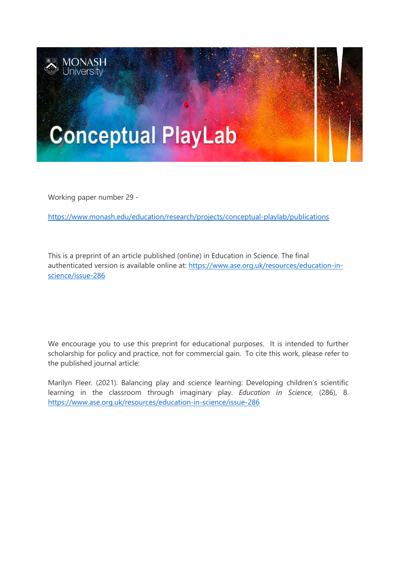

Working paper number 29 -

<https://www.monash.edu/education/research/projects/conceptual-playlab/publications>

This is a preprint of an article published (online) in Education in Science. The final authenticated version is available online at: [https://www.ase.org.uk/resources/education-in](https://www.ase.org.uk/resources/education-in-science/issue-286)[science/issue-286](https://www.ase.org.uk/resources/education-in-science/issue-286)

We encourage you to use this preprint for educational purposes. It is intended to further scholarship for policy and practice, not for commercial gain. To cite this work, please refer to the published journal article:

Marilyn Fleer. (2021). Balancing play and science learning: Developing children's scientific learning in the classroom through imaginary play. *Education in Science*, (286), 8. <https://www.ase.org.uk/resources/education-in-science/issue-286>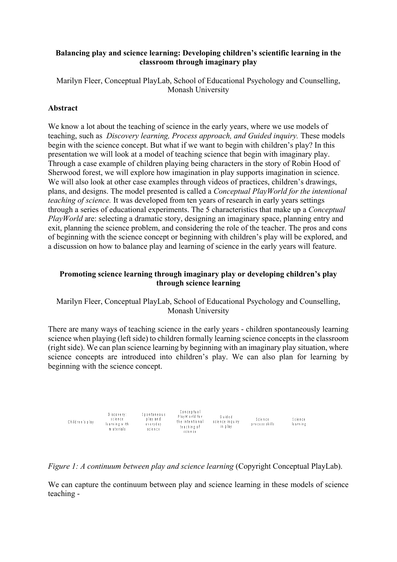# **Balancing play and science learning: Developing children's scientific learning in the classroom through imaginary play**

Marilyn Fleer, Conceptual PlayLab, School of Educational Psychology and Counselling, Monash University

# **Abstract**

We know a lot about the teaching of science in the early years, where we use models of teaching, such as *Discovery learning, Process approach, and Guided inquiry.* These models begin with the science concept. But what if we want to begin with children's play? In this presentation we will look at a model of teaching science that begin with imaginary play. Through a case example of children playing being characters in the story of Robin Hood of Sherwood forest, we will explore how imagination in play supports imagination in science. We will also look at other case examples through videos of practices, children's drawings, plans, and designs. The model presented is called a *Conceptual PlayWorld for the intentional teaching of science*. It was developed from ten years of research in early years settings through a series of educational experiments. The 5 characteristics that make up a *Conceptual PlayWorld* are: selecting a dramatic story, designing an imaginary space, planning entry and exit, planning the science problem, and considering the role of the teacher. The pros and cons of beginning with the science concept or beginning with children's play will be explored, and a discussion on how to balance play and learning of science in the early years will feature.

# **Promoting science learning through imaginary play or developing children's play through science learning**

# Marilyn Fleer, Conceptual PlayLab, School of Educational Psychology and Counselling, Monash University

There are many ways of teaching science in the early years - children spontaneously learning science when playing (left side) to children formally learning science concepts in the classroom (right side). We can plan science learning by beginning with an imaginary play situation, where science concepts are introduced into children's play. We can also plan for learning by beginning with the science concept.

| Children's play | Discovery:<br>science<br>learning with<br>m aterials | <b>Spontaneous</b><br>play and<br>everyday<br>science | Conceptual<br>PlayW orld for<br>the intentional<br>teaching of<br>science | Guided<br>science inquiry<br>in olav | Science<br>process skills | Science<br>le arning |
|-----------------|------------------------------------------------------|-------------------------------------------------------|---------------------------------------------------------------------------|--------------------------------------|---------------------------|----------------------|
|-----------------|------------------------------------------------------|-------------------------------------------------------|---------------------------------------------------------------------------|--------------------------------------|---------------------------|----------------------|

#### *Figure 1: A continuum between play and science learning (Copyright Conceptual PlayLab).*

We can capture the continuum between play and science learning in these models of science teaching -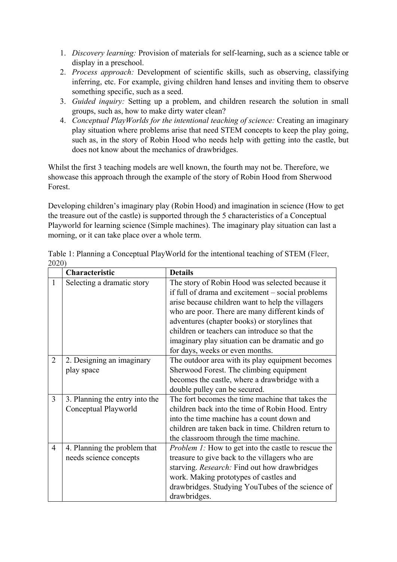- 1. *Discovery learning:* Provision of materials for self-learning, such as a science table or display in a preschool.
- 2. *Process approach:* Development of scientific skills, such as observing, classifying inferring, etc. For example, giving children hand lenses and inviting them to observe something specific, such as a seed.
- 3. *Guided inquiry:* Setting up a problem, and children research the solution in small groups, such as, how to make dirty water clean?
- 4. *Conceptual PlayWorlds for the intentional teaching of science:* Creating an imaginary play situation where problems arise that need STEM concepts to keep the play going, such as, in the story of Robin Hood who needs help with getting into the castle, but does not know about the mechanics of drawbridges.

Whilst the first 3 teaching models are well known, the fourth may not be. Therefore, we showcase this approach through the example of the story of Robin Hood from Sherwood Forest.

Developing children's imaginary play (Robin Hood) and imagination in science (How to get the treasure out of the castle) is supported through the 5 characteristics of a Conceptual Playworld for learning science (Simple machines). The imaginary play situation can last a morning, or it can take place over a whole term.

|                | Characteristic                 | <b>Details</b>                                             |
|----------------|--------------------------------|------------------------------------------------------------|
| 1              | Selecting a dramatic story     | The story of Robin Hood was selected because it            |
|                |                                | if full of drama and excitement – social problems          |
|                |                                | arise because children want to help the villagers          |
|                |                                | who are poor. There are many different kinds of            |
|                |                                | adventures (chapter books) or storylines that              |
|                |                                | children or teachers can introduce so that the             |
|                |                                | imaginary play situation can be dramatic and go            |
|                |                                | for days, weeks or even months.                            |
| $\overline{2}$ | 2. Designing an imaginary      | The outdoor area with its play equipment becomes           |
|                | play space                     | Sherwood Forest. The climbing equipment                    |
|                |                                | becomes the castle, where a drawbridge with a              |
|                |                                | double pulley can be secured.                              |
| $\overline{3}$ | 3. Planning the entry into the | The fort becomes the time machine that takes the           |
|                | Conceptual Playworld           | children back into the time of Robin Hood. Entry           |
|                |                                | into the time machine has a count down and                 |
|                |                                | children are taken back in time. Children return to        |
|                |                                | the classroom through the time machine.                    |
| 4              | 4. Planning the problem that   | <i>Problem 1:</i> How to get into the castle to rescue the |
|                | needs science concepts         | treasure to give back to the villagers who are             |
|                |                                | starving. Research: Find out how drawbridges               |
|                |                                | work. Making prototypes of castles and                     |
|                |                                | drawbridges. Studying YouTubes of the science of           |
|                |                                | drawbridges.                                               |

Table 1: Planning a Conceptual PlayWorld for the intentional teaching of STEM (Fleer, 2020)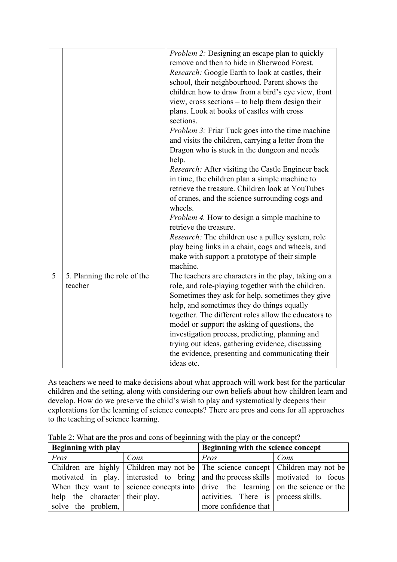|   |                             | Problem 2: Designing an escape plan to quickly           |  |  |
|---|-----------------------------|----------------------------------------------------------|--|--|
|   |                             | remove and then to hide in Sherwood Forest.              |  |  |
|   |                             |                                                          |  |  |
|   |                             | Research: Google Earth to look at castles, their         |  |  |
|   |                             | school, their neighbourhood. Parent shows the            |  |  |
|   |                             | children how to draw from a bird's eye view, front       |  |  |
|   |                             | view, cross sections - to help them design their         |  |  |
|   |                             | plans. Look at books of castles with cross               |  |  |
|   |                             | sections.                                                |  |  |
|   |                             | <i>Problem 3:</i> Friar Tuck goes into the time machine  |  |  |
|   |                             | and visits the children, carrying a letter from the      |  |  |
|   |                             | Dragon who is stuck in the dungeon and needs             |  |  |
|   |                             | help.                                                    |  |  |
|   |                             | <i>Research:</i> After visiting the Castle Engineer back |  |  |
|   |                             | in time, the children plan a simple machine to           |  |  |
|   |                             | retrieve the treasure. Children look at YouTubes         |  |  |
|   |                             | of cranes, and the science surrounding cogs and          |  |  |
|   |                             | wheels.                                                  |  |  |
|   |                             | <i>Problem 4.</i> How to design a simple machine to      |  |  |
|   |                             | retrieve the treasure.                                   |  |  |
|   |                             | <i>Research:</i> The children use a pulley system, role  |  |  |
|   |                             | play being links in a chain, cogs and wheels, and        |  |  |
|   |                             | make with support a prototype of their simple            |  |  |
|   |                             | machine.                                                 |  |  |
| 5 | 5. Planning the role of the | The teachers are characters in the play, taking on a     |  |  |
|   | teacher                     | role, and role-playing together with the children.       |  |  |
|   |                             | Sometimes they ask for help, sometimes they give         |  |  |
|   |                             | help, and sometimes they do things equally               |  |  |
|   |                             | together. The different roles allow the educators to     |  |  |
|   |                             | model or support the asking of questions, the            |  |  |
|   |                             | investigation process, predicting, planning and          |  |  |
|   |                             | trying out ideas, gathering evidence, discussing         |  |  |
|   |                             | the evidence, presenting and communicating their         |  |  |
|   |                             | ideas etc.                                               |  |  |

As teachers we need to make decisions about what approach will work best for the particular children and the setting, along with considering our own beliefs about how children learn and develop. How do we preserve the child's wish to play and systematically deepens their explorations for the learning of science concepts? There are pros and cons for all approaches to the teaching of science learning.

| <b>Beginning with play</b>     |      | Beginning with the science concept                                                               |      |  |
|--------------------------------|------|--------------------------------------------------------------------------------------------------|------|--|
| Pros                           | Cons | Pros                                                                                             | Cons |  |
|                                |      | Children are highly Children may not be The science concept Children may not be                  |      |  |
|                                |      | motivated in play. interested to bring and the process skills motivated to focus                 |      |  |
|                                |      | When they want to science concepts into $\vert$ drive the learning $\vert$ on the science or the |      |  |
| help the character their play. |      | activities. There is process skills.                                                             |      |  |
| solve the problem,             |      | more confidence that                                                                             |      |  |

Table 2: What are the pros and cons of beginning with the play or the concept?